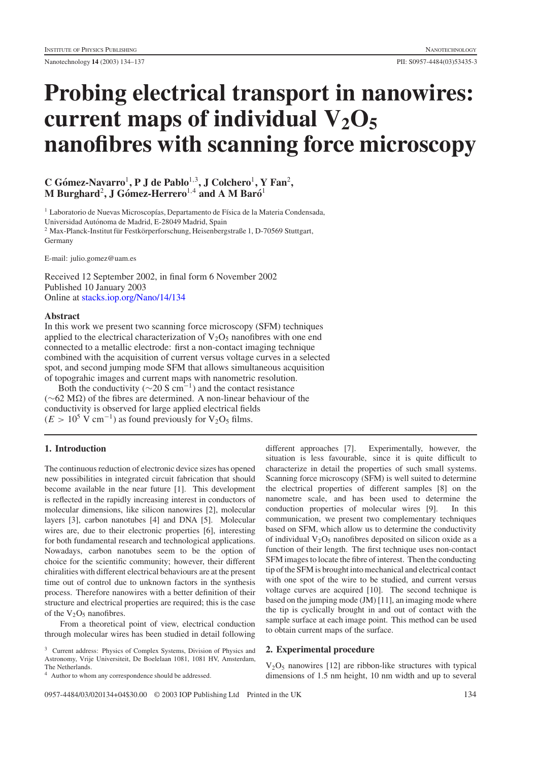Nanotechnology **14** (2003) 134–137 PII: S0957-4484(03)53435-3

# **Probing electrical transport in nanowires:** current maps of individual  $V_2O_5$ **nanofibres with scanning force microscopy**

## **C** Gómez-Navarro<sup>1</sup>, **P** J de Pablo<sup>1,3</sup>, J Colchero<sup>1</sup>, Y Fan<sup>2</sup>, **M Burghard**<sup>2</sup>**,JGomez-Herrero ´** <sup>1</sup>,<sup>4</sup> **and A M Baro´**<sup>1</sup>

<sup>1</sup> Laboratorio de Nuevas Microscopías, Departamento de Física de la Materia Condensada, Universidad Autonoma de Madrid, E-28049 Madrid, Spain ´  $2$  Max-Planck-Institut für Festkörperforschung, Heisenbergstraße 1, D-70569 Stuttgart, Germany

E-mail: julio.gomez@uam.es

Received 12 September 2002, in final form 6 November 2002 Published 10 January 2003 Online at [stacks.iop.org/Nano/14/134](http://stacks.iop.org/Nano/14/134)

## **Abstract**

In this work we present two scanning force microscopy (SFM) techniques applied to the electrical characterization of  $V_2O_5$  nanofibres with one end connected to a metallic electrode: first a non-contact imaging technique combined with the acquisition of current versus voltage curves in a selected spot, and second jumping mode SFM that allows simultaneous acquisition of topograhic images and current maps with nanometric resolution.

Both the conductivity ( $\sim$ 20 S cm<sup>-1</sup>) and the contact resistance  $(~62 MΩ)$  of the fibres are determined. A non-linear behaviour of the conductivity is observed for large applied electrical fields  $(E > 10^5 \text{ V cm}^{-1})$  as found previously for V<sub>2</sub>O<sub>5</sub> films.

## **1. Introduction**

The continuous reduction of electronic device sizes has opened new possibilities in integrated circuit fabrication that should become available in the near future [1]. This development is reflected in the rapidly increasing interest in conductors of molecular dimensions, like silicon nanowires [2], molecular layers [3], carbon nanotubes [4] and DNA [5]. Molecular wires are, due to their electronic properties [6], interesting for both fundamental research and technological applications. Nowadays, carbon nanotubes seem to be the option of choice for the scientific community; however, their different chiralities with different electrical behaviours are at the present time out of control due to unknown factors in the synthesis process. Therefore nanowires with a better definition of their structure and electrical properties are required; this is the case of the  $V_2O_5$  nanofibres.

From a theoretical point of view, electrical conduction through molecular wires has been studied in detail following

<sup>3</sup> Current address: Physics of Complex Systems, Division of Physics and Astronomy, Vrije Universiteit, De Boelelaan 1081, 1081 HV, Amsterdam, The Netherlands.

<sup>4</sup> Author to whom any correspondence should be addressed.

different approaches [7]. Experimentally, however, the situation is less favourable, since it is quite difficult to characterize in detail the properties of such small systems. Scanning force microscopy (SFM) is well suited to determine the electrical properties of different samples [8] on the nanometre scale, and has been used to determine the conduction properties of molecular wires [9]. In this communication, we present two complementary techniques based on SFM, which allow us to determine the conductivity of individual  $V_2O_5$  nanofibres deposited on silicon oxide as a function of their length. The first technique uses non-contact SFM images to locate the fibre of interest. Then the conducting tip of the SFM is brought into mechanical and electrical contact with one spot of the wire to be studied, and current versus voltage curves are acquired [10]. The second technique is based on the jumping mode (JM) [11], an imaging mode where the tip is cyclically brought in and out of contact with the sample surface at each image point. This method can be used to obtain current maps of the surface.

## **2. Experimental procedure**

 $V<sub>2</sub>O<sub>5</sub>$  nanowires [12] are ribbon-like structures with typical dimensions of 1.5 nm height, 10 nm width and up to several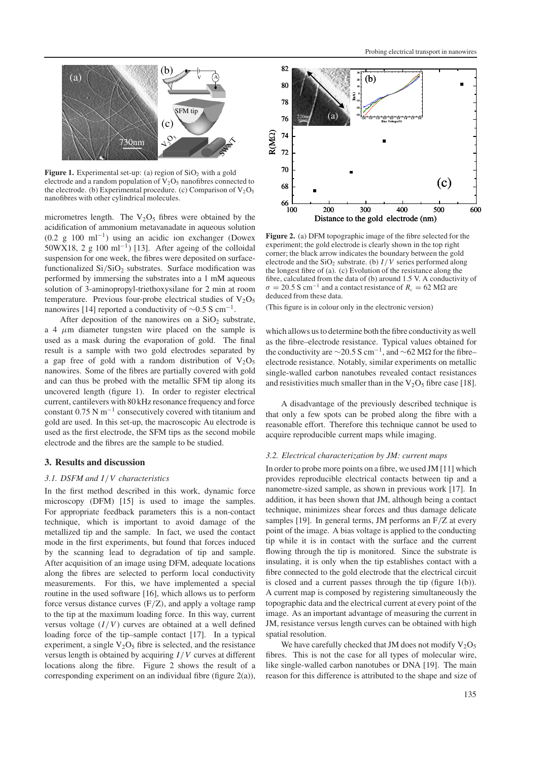

**Figure 1.** Experimental set-up: (a) region of  $SiO<sub>2</sub>$  with a gold electrode and a random population of  $V_2O_5$  nanofibres connected to the electrode. (b) Experimental procedure. (c) Comparison of  $V_2O_5$ nanofibres with other cylindrical molecules.

micrometres length. The  $V_2O_5$  fibres were obtained by the acidification of ammonium metavanadate in aqueous solution (0.2 g 100 ml<sup>-1</sup>) using an acidic ion exchanger (Dowex 50WX18, 2 g 100 ml<sup>-1</sup>) [13]. After ageing of the colloidal suspension for one week, the fibres were deposited on surfacefunctionalized  $Si/SiO<sub>2</sub>$  substrates. Surface modification was performed by immersing the substrates into a 1 mM aqueous solution of 3-aminopropyl-triethoxysilane for 2 min at room temperature. Previous four-probe electrical studies of  $V_2O_5$ nanowires [14] reported a conductivity of  $\sim$ 0.5 S cm<sup>-1</sup>.

After deposition of the nanowires on a  $SiO<sub>2</sub>$  substrate, a 4  $\mu$ m diameter tungsten wire placed on the sample is used as a mask during the evaporation of gold. The final result is a sample with two gold electrodes separated by a gap free of gold with a random distribution of  $V_2O_5$ nanowires. Some of the fibres are partially covered with gold and can thus be probed with the metallic SFM tip along its uncovered length (figure 1). In order to register electrical current, cantilevers with 80 kHz resonance frequency and force constant 0.75 N m−<sup>1</sup> consecutively covered with titanium and gold are used. In this set-up, the macroscopic Au electrode is used as the first electrode, the SFM tips as the second mobile electrode and the fibres are the sample to be studied.

## **3. Results and discussion**

#### *3.1. DSFM and I*/*V characteristics*

In the first method described in this work, dynamic force microscopy (DFM) [15] is used to image the samples. For appropriate feedback parameters this is a non-contact technique, which is important to avoid damage of the metallized tip and the sample. In fact, we used the contact mode in the first experiments, but found that forces induced by the scanning lead to degradation of tip and sample. After acquisition of an image using DFM, adequate locations along the fibres are selected to perform local conductivity measurements. For this, we have implemented a special routine in the used software [16], which allows us to perform force versus distance curves  $(F/Z)$ , and apply a voltage ramp to the tip at the maximum loading force. In this way, current versus voltage  $(I/V)$  curves are obtained at a well defined loading force of the tip–sample contact [17]. In a typical experiment, a single  $V_2O_5$  fibre is selected, and the resistance versus length is obtained by acquiring *I*/*V* curves at different locations along the fibre. Figure 2 shows the result of a corresponding experiment on an individual fibre (figure 2(a)),



**Figure 2.** (a) DFM topographic image of the fibre selected for the experiment; the gold electrode is clearly shown in the top right corner; the black arrow indicates the boundary between the gold electrode and the  $SiO<sub>2</sub>$  substrate. (b)  $I/V$  series performed along the longest fibre of (a). (c) Evolution of the resistance along the fibre, calculated from the data of (b) around 1.5 V. A conductivity of  $σ = 20.5$  S cm<sup>-1</sup> and a contact resistance of  $R_c = 62$  MΩ are deduced from these data.

(This figure is in colour only in the electronic version)

which allows us to determine both the fibre conductivity as well as the fibre–electrode resistance. Typical values obtained for the conductivity are  $\sim$ 20.5 S cm<sup>-1</sup>, and  $\sim$ 62 MΩ for the fibre– electrode resistance. Notably, similar experiments on metallic single-walled carbon nanotubes revealed contact resistances and resistivities much smaller than in the  $V_2O_5$  fibre case [18].

A disadvantage of the previously described technique is that only a few spots can be probed along the fibre with a reasonable effort. Therefore this technique cannot be used to acquire reproducible current maps while imaging.

#### *3.2. Electrical characterization by JM: current maps*

In order to probe more points on a fibre, we used JM [11] which provides reproducible electrical contacts between tip and a nanometre-sized sample, as shown in previous work [17]. In addition, it has been shown that JM, although being a contact technique, minimizes shear forces and thus damage delicate samples [19]. In general terms, JM performs an F/Z at every point of the image. A bias voltage is applied to the conducting tip while it is in contact with the surface and the current flowing through the tip is monitored. Since the substrate is insulating, it is only when the tip establishes contact with a fibre connected to the gold electrode that the electrical circuit is closed and a current passes through the tip (figure 1(b)). A current map is composed by registering simultaneously the topographic data and the electrical current at every point of the image. As an important advantage of measuring the current in JM, resistance versus length curves can be obtained with high spatial resolution.

We have carefully checked that JM does not modify  $V_2O_5$ fibres. This is not the case for all types of molecular wire, like single-walled carbon nanotubes or DNA [19]. The main reason for this difference is attributed to the shape and size of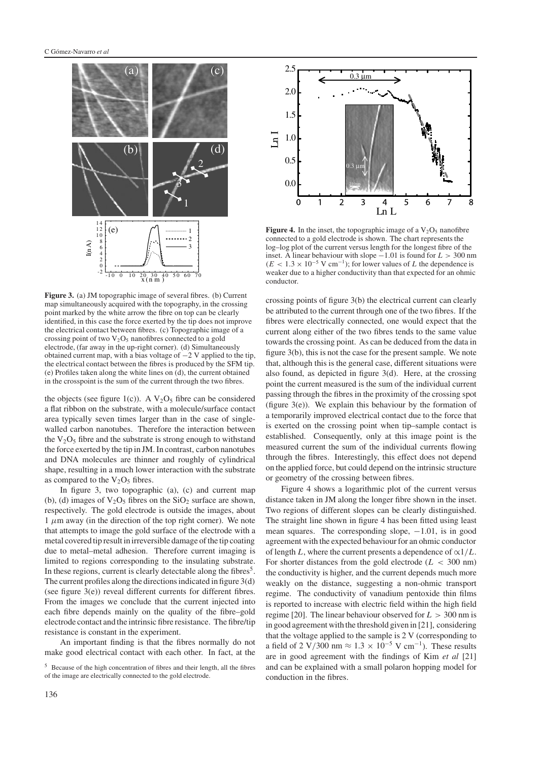

**Figure 3.** (a) JM topographic image of several fibres. (b) Current map simultaneously acquired with the topography, in the crossing point marked by the white arrow the fibre on top can be clearly identified, in this case the force exerted by the tip does not improve the electrical contact between fibres. (c) Topographic image of a crossing point of two  $V_2O_5$  nanofibres connected to a gold electrode, (far away in the up-right corner). (d) Simultaneously obtained current map, with a bias voltage of −2 V applied to the tip, the electrical contact between the fibres is produced by the SFM tip. (e) Profiles taken along the white lines on (d), the current obtained in the crosspoint is the sum of the current through the two fibres.

the objects (see figure 1(c)). A  $V_2O_5$  fibre can be considered a flat ribbon on the substrate, with a molecule/surface contact area typically seven times larger than in the case of singlewalled carbon nanotubes. Therefore the interaction between the  $V_2O_5$  fibre and the substrate is strong enough to withstand the force exerted by the tip in JM. In contrast, carbon nanotubes and DNA molecules are thinner and roughly of cylindrical shape, resulting in a much lower interaction with the substrate as compared to the  $V_2O_5$  fibres.

In figure 3, two topographic (a), (c) and current map (b), (d) images of  $V_2O_5$  fibres on the  $SiO_2$  surface are shown, respectively. The gold electrode is outside the images, about  $1 \mu$ m away (in the direction of the top right corner). We note that attempts to image the gold surface of the electrode with a metal covered tip result in irreversible damage of the tip coating due to metal–metal adhesion. Therefore current imaging is limited to regions corresponding to the insulating substrate. In these regions, current is clearly detectable along the fibres<sup>5</sup>. The current profiles along the directions indicated in figure 3(d) (see figure  $3(e)$ ) reveal different currents for different fibres. From the images we conclude that the current injected into each fibre depends mainly on the quality of the fibre–gold electrode contact and the intrinsic fibre resistance. The fibre/tip resistance is constant in the experiment.

An important finding is that the fibres normally do not make good electrical contact with each other. In fact, at the



**Figure 4.** In the inset, the topographic image of a  $V_2O_5$  nanofibre connected to a gold electrode is shown. The chart represents the log–log plot of the current versus length for the longest fibre of the inset. A linear behaviour with slope −1.01 is found for *L* > 300 nm  $(E < 1.3 \times 10^{-5} \text{ V cm}^{-1})$ ; for lower values of *L* the dependence is weaker due to a higher conductivity than that expected for an ohmic conductor.

crossing points of figure 3(b) the electrical current can clearly be attributed to the current through one of the two fibres. If the fibres were electrically connected, one would expect that the current along either of the two fibres tends to the same value towards the crossing point. As can be deduced from the data in figure 3(b), this is not the case for the present sample. We note that, although this is the general case, different situations were also found, as depicted in figure 3(d). Here, at the crossing point the current measured is the sum of the individual current passing through the fibres in the proximity of the crossing spot (figure 3(e)). We explain this behaviour by the formation of a temporarily improved electrical contact due to the force that is exerted on the crossing point when tip–sample contact is established. Consequently, only at this image point is the measured current the sum of the individual currents flowing through the fibres. Interestingly, this effect does not depend on the applied force, but could depend on the intrinsic structure or geometry of the crossing between fibres.

Figure 4 shows a logarithmic plot of the current versus distance taken in JM along the longer fibre shown in the inset. Two regions of different slopes can be clearly distinguished. The straight line shown in figure 4 has been fitted using least mean squares. The corresponding slope,  $-1.01$ , is in good agreement with the expected behaviour for an ohmic conductor of length *L*, where the current presents a dependence of  $\alpha$ 1/*L*. For shorter distances from the gold electrode ( $L < 300$  nm) the conductivity is higher, and the current depends much more weakly on the distance, suggesting a non-ohmic transport regime. The conductivity of vanadium pentoxide thin films is reported to increase with electric field within the high field regime [20]. The linear behaviour observed for  $L > 300$  nm is in good agreement with the threshold given in [21], considering that the voltage applied to the sample is 2 V (corresponding to a field of 2 V/300 nm  $\approx 1.3 \times 10^{-5}$  V cm<sup>-1</sup>). These results are in good agreement with the findings of Kim *et al* [21] and can be explained with a small polaron hopping model for conduction in the fibres.

<sup>5</sup> Because of the high concentration of fibres and their length, all the fibres of the image are electrically connected to the gold electrode.